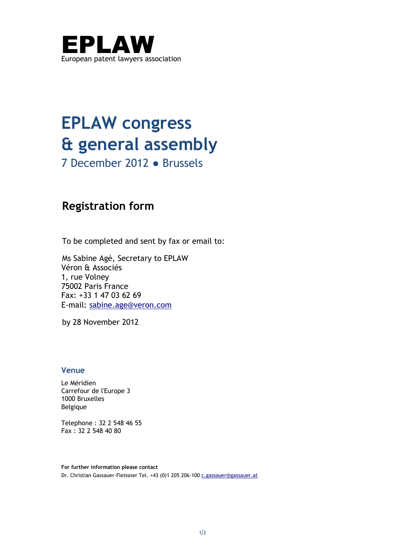

## **EPLAW congress & general assembly**

7 December 2012 ● Brussels

## **Registration form**

To be completed and sent by fax or email to:

Ms Sabine Agé, Secretary to EPLAW Véron & Associés 1, rue Volney 75002 Paris France Fax: +33 1 47 03 62 69 E-mail: [sabine.age@veron.com](mailto:sabine.age@veron.com) 

by 28 November 2012

## **Venue**

Le Méridien Carrefour de l'Europe 3 1000 Bruxelles Belgique

Telephone : 32 2 548 46 55 Fax : 32 2 548 40 80

**For further information please contact**  Dr. Christian Gassauer-Fleissner Tel. +43 (0)1 205 206-100 [c.gassauer@gassauer.at](mailto:c.gassauer@gassauer.at)